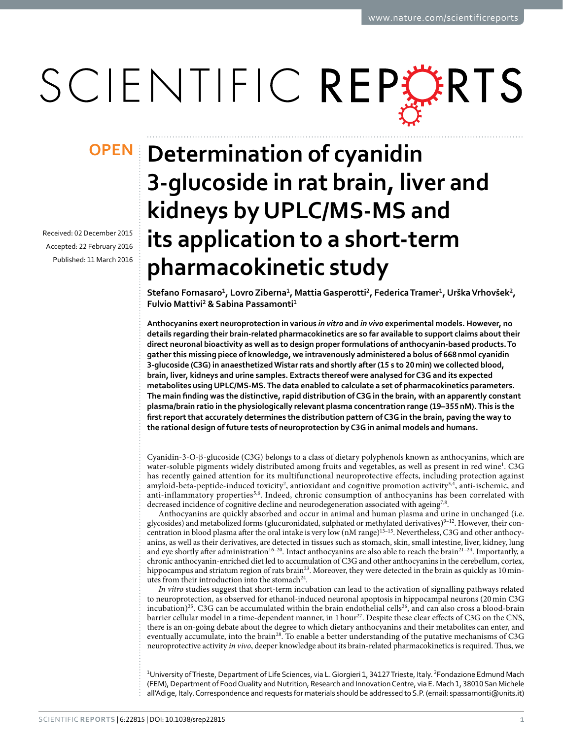# SCIENTIFIC REPERTS

Received: 02 December 2015 accepted: 22 February 2016 Published: 11 March 2016

## **Determination of cyanidin OPEN3-glucoside in rat brain, liver and kidneys by UPLC/MS-MS and its application to a short-term pharmacokinetic study**

**Stefano Fornasaro1, LovroZiberna1, MattiaGasperotti2, FedericaTramer1, UrškaVrhovšek2, Fulvio Mattivi2 & Sabina Passamonti1**

**Anthocyanins exert neuroprotection in various** *in vitro* **and** *in vivo* **experimental models. However, no details regarding their brain-related pharmacokinetics are so far available to support claims about their direct neuronal bioactivity as well as to design proper formulations of anthocyanin-based products. To gather this missing piece of knowledge, we intravenously administered a bolus of 668nmol cyanidin 3-glucoside (C3G) in anaesthetized Wistar rats and shortly after (15 s to 20min) we collected blood, brain, liver, kidneys and urine samples. Extracts thereof were analysed for C3G and its expected metabolites using UPLC/MS-MS. The data enabled to calculate a set of pharmacokinetics parameters. The main finding was the distinctive, rapid distribution of C3G in the brain, with an apparently constant plasma/brain ratio in the physiologically relevant plasma concentration range (19–355nM). This is the first report that accurately determines the distribution pattern of C3G in the brain, paving the way to the rational design of future tests of neuroprotection by C3G in animal models and humans.**

Cyanidin-3-O-β-glucoside (C3G) belongs to a class of dietary polyphenols known as anthocyanins, which are water-soluble pigments widely distributed among fruits and vegetables, as well as present in red win[e1](#page-9-0) . C3G has recently gained attention for its multifunctional neuroprotective effects, including protection against amyloid-beta-peptide-induced toxicity<sup>[2](#page-9-1)</sup>, antioxidant and cognitive promotion activity<sup>3,[4](#page-9-3)</sup>, anti-ischemic, and anti-inflammatory properties<sup>[5](#page-9-4),6</sup>. Indeed, chronic consumption of anthocyanins has been correlated with decreased incidence of cognitive decline and neurodegeneration associated with ageing<sup>[7,](#page-9-6)8</sup>.

Anthocyanins are quickly absorbed and occur in animal and human plasma and urine in unchanged (i.e. glycosides) and metabolized forms (glucuronidated, sulphated or methylated derivatives)<sup>9-12</sup>. However, their concentration in blood plasma after the oral intake is very low (nM range)[13–15.](#page-9-9) Nevertheless, C3G and other anthocyanins, as well as their derivatives, are detected in tissues such as stomach, skin, small intestine, liver, kidney, lung and eye shortly after administration<sup>16–20</sup>. Intact anthocyanins are also able to reach the brain<sup>21–24</sup>. Importantly, a chronic anthocyanin-enriched diet led to accumulation of C3G and other anthocyanins in the cerebellum, cortex, hippocampus and striatum region of rats brain<sup>[23](#page-9-12)</sup>. Moreover, they were detected in the brain as quickly as 10 minutes from their introduction into the stomach<sup>24</sup>.

*In vitro* studies suggest that short-term incubation can lead to the activation of signalling pathways related to neuroprotection, as observed for ethanol-induced neuronal apoptosis in hippocampal neurons (20min C3G incubation)<sup>25</sup>. C3G can be accumulated within the brain endothelial cells<sup>26</sup>, and can also cross a blood-brain barrier cellular model in a time-dependent manner, in 1 hour<sup>[27](#page-9-16)</sup>. Despite these clear effects of C3G on the CNS, there is an on-going debate about the degree to which dietary anthocyanins and their metabolites can enter, and eventually accumulate, into the brain<sup>28</sup>. To enable a better understanding of the putative mechanisms of C3G neuroprotective activity *in vivo*, deeper knowledge about its brain-related pharmacokinetics is required. Thus, we

<sup>1</sup>University of Trieste, Department of Life Sciences, via L. Giorgieri 1, 34127 Trieste, Italy. <sup>2</sup>Fondazione Edmund Mach (FEM), Department of Food Quality and Nutrition, Research and Innovation Centre, via E. Mach 1, 38010 San Michele all'Adige, Italy. Correspondence and requests for materials should be addressed to S.P. (email: [spassamonti@units.it](mailto:spassamonti@units.it))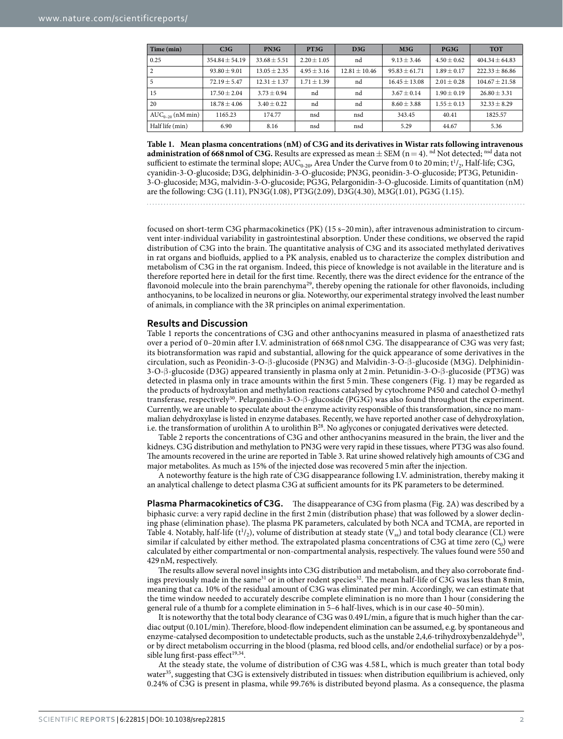<span id="page-1-0"></span>

| Time (min)            | C3G                | PN3G             | PT3G            | D3G             | M3G               | PG3G            | <b>TOT</b>         |
|-----------------------|--------------------|------------------|-----------------|-----------------|-------------------|-----------------|--------------------|
| 0.25                  | $354.84 \pm 54.19$ | $33.68 \pm 5.51$ | $2.20 \pm 1.05$ | nd              | $9.13 \pm 3.46$   | $4.50 \pm 0.62$ | $404.34 \pm 64.83$ |
| 2                     | $93.80 \pm 9.01$   | $13.05 \pm 2.35$ | $4.95 \pm 3.16$ | $12.81 + 10.46$ | $95.83 \pm 61.71$ | $1.89 \pm 0.17$ | $222.33 + 86.86$   |
| 5                     | $72.19 \pm 5.47$   | $12.31 \pm 1.37$ | $1.71 + 1.39$   | nd              | $16.45 + 13.08$   | $2.01 + 0.28$   | $104.67 \pm 21.58$ |
| 15                    | $17.50 \pm 2.04$   | $3.73 \pm 0.94$  | nd              | nd              | $3.67 \pm 0.14$   | $1.90 \pm 0.19$ | $26.80 \pm 3.31$   |
| 20                    | $18.78 \pm 4.06$   | $3.40 + 0.22$    | nd              | nd              | $8.60 + 3.88$     | $1.55 + 0.13$   | $32.33 + 8.29$     |
| $AUC_{0-20}$ (nM min) | 1165.23            | 174.77           | nsd             | nsd             | 343.45            | 40.41           | 1825.57            |
| Half life (min)       | 6.90               | 8.16             | nsd             | nsd             | 5.29              | 44.67           | 5.36               |

**Table 1. Mean plasma concentrations (nM) of C3G and its derivatives in Wistar rats following intravenous administration of 668 nmol of C3G.** Results are expressed as mean  $\pm$  SEM (n = 4). <sup>nd</sup> Not detected; <sup>nsd</sup> data not sufficient to estimate the terminal slope;  $AUC_{0-20}$ , Area Under the Curve from 0 to 20 min; t<sup>1</sup>/<sub>2</sub>, Half-life; C3G, cyanidin-3-O-glucoside; D3G, delphinidin-3-O-glucoside; PN3G, peonidin-3-O-glucoside; PT3G, Petunidin-3-O-glucoside; M3G, malvidin-3-O-glucoside; PG3G, Pelargonidin-3-O-glucoside. Limits of quantitation (nM) are the following: C3G (1.11), PN3G(1.08), PT3G(2.09), D3G(4.30), M3G(1.01), PG3G (1.15).

focused on short-term C3G pharmacokinetics (PK) (15 s–20min), after intravenous administration to circumvent inter-individual variability in gastrointestinal absorption. Under these conditions, we observed the rapid distribution of C3G into the brain. The quantitative analysis of C3G and its associated methylated derivatives in rat organs and biofluids, applied to a PK analysis, enabled us to characterize the complex distribution and metabolism of C3G in the rat organism. Indeed, this piece of knowledge is not available in the literature and is therefore reported here in detail for the first time. Recently, there was the direct evidence for the entrance of the flavonoid molecule into the brain parenchyma<sup>29</sup>, thereby opening the rationale for other flavonoids, including anthocyanins, to be localized in neurons or glia. Noteworthy, our experimental strategy involved the least number of animals, in compliance with the 3R principles on animal experimentation.

#### **Results and Discussion**

[Table 1](#page-1-0) reports the concentrations of C3G and other anthocyanins measured in plasma of anaesthetized rats over a period of 0–20 min after I.V. administration of 668nmol C3G. The disappearance of C3G was very fast; its biotransformation was rapid and substantial, allowing for the quick appearance of some derivatives in the circulation, such as Peonidin-3-O-β-glucoside (PN3G) and Malvidin-3-O-β-glucoside (M3G). Delphinidin-3-O-β-glucoside (D3G) appeared transiently in plasma only at 2min. Petunidin-3-O-β-glucoside (PT3G) was detected in plasma only in trace amounts within the first 5 min. These congeners ([Fig. 1](#page-2-0)) may be regarded as the products of hydroxylation and methylation reactions catalysed by cytochrome P450 and catechol O-methyl transferase, respectively[30](#page-9-19). Pelargonidin-3-O-β-glucoside (PG3G) was also found throughout the experiment. Currently, we are unable to speculate about the enzyme activity responsible of this transformation, since no mammalian dehydroxylase is listed in enzyme databases. Recently, we have reported another case of dehydroxylation, i.e. the transformation of urolithin A to urolithin  $B^{28}$ . No aglycones or conjugated derivatives were detected.

[Table 2](#page-3-0) reports the concentrations of C3G and other anthocyanins measured in the brain, the liver and the kidneys. C3G distribution and methylation to PN3G were very rapid in these tissues, where PT3G was also found. The amounts recovered in the urine are reported in [Table 3](#page-3-1). Rat urine showed relatively high amounts of C3G and major metabolites. As much as 15% of the injected dose was recovered 5min after the injection.

A noteworthy feature is the high rate of C3G disappearance following I.V. administration, thereby making it an analytical challenge to detect plasma C3G at sufficient amounts for its PK parameters to be determined.

**Plasma Pharmacokinetics of C3G.** The disappearance of C3G from plasma ([Fig. 2A\)](#page-4-0) was described by a biphasic curve: a very rapid decline in the first 2min (distribution phase) that was followed by a slower declining phase (elimination phase). The plasma PK parameters, calculated by both NCA and TCMA, are reported in [Table 4.](#page-4-1) Notably, half-life  $(t^1/2)$ , volume of distribution at steady state  $(V_{ss})$  and total body clearance (CL) were similar if calculated by either method. The extrapolated plasma concentrations of C3G at time zero  $(C_0)$  were calculated by either compartmental or non-compartmental analysis, respectively. The values found were 550 and 429nM, respectively.

The results allow several novel insights into C3G distribution and metabolism, and they also corroborate find-ings previously made in the same<sup>31</sup> or in other rodent species<sup>[32](#page-9-21)</sup>. The mean half-life of C3G was less than 8 min, meaning that ca. 10% of the residual amount of C3G was eliminated per min. Accordingly, we can estimate that the time window needed to accurately describe complete elimination is no more than 1 hour (considering the general rule of a thumb for a complete elimination in 5–6 half-lives, which is in our case 40–50min).

It is noteworthy that the total body clearance of C3G was 0.49L/min, a figure that is much higher than the cardiac output (0.10L/min). Therefore, blood-flow independent elimination can be assumed, e.g. by spontaneous and enzyme-catalysed decomposition to undetectable products, such as the unstable 2,4,6-trihydroxybenzaldehyde<sup>33</sup>, or by direct metabolism occurring in the blood (plasma, red blood cells, and/or endothelial surface) or by a possible lung first-pass effect $19,34$ .

At the steady state, the volume of distribution of C3G was 4.58 L, which is much greater than total body water<sup>35</sup>, suggesting that C3G is extensively distributed in tissues: when distribution equilibrium is achieved, only 0.24% of C3G is present in plasma, while 99.76% is distributed beyond plasma. As a consequence, the plasma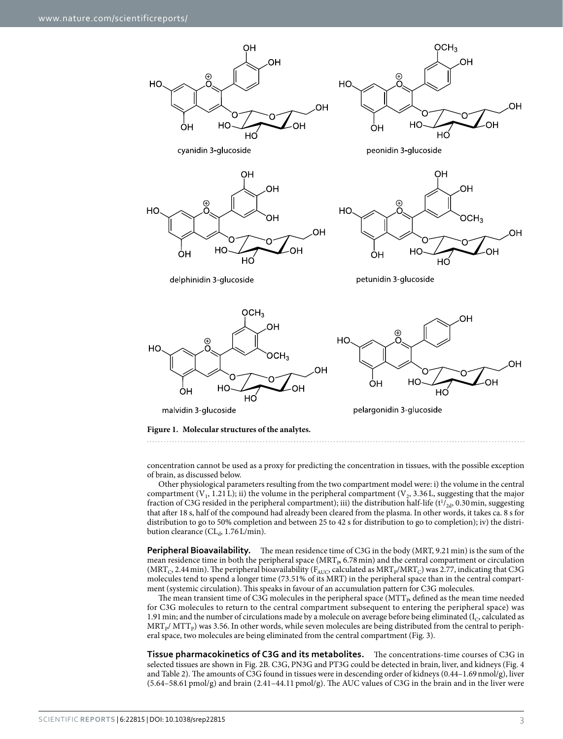

<span id="page-2-0"></span>concentration cannot be used as a proxy for predicting the concentration in tissues, with the possible exception of brain, as discussed below.

Other physiological parameters resulting from the two compartment model were: i) the volume in the central compartment  $(V_1, 1.21 L)$ ; ii) the volume in the peripheral compartment  $(V_2, 3.36 L)$ , suggesting that the major fraction of C3G resided in the peripheral compartment); iii) the distribution half-life ( $t^{1}/_{2d}$ , 0.30 min, suggesting that after 18 s, half of the compound had already been cleared from the plasma. In other words, it takes ca. 8 s for distribution to go to 50% completion and between 25 to 42 s for distribution to go to completion); iv) the distribution clearance ( $CL<sub>d</sub>$ , 1.76 $L/min$ ).

**Peripheral Bioavailability.** The mean residence time of C3G in the body (MRT, 9.21 min) is the sum of the mean residence time in both the peripheral space ( $MRT<sub>p</sub>$ , 6.78 min) and the central compartment or circulation (MRT<sub>C</sub>, 2.44 min). The peripheral bioavailability (F<sub>AUC</sub>, calculated as MRT<sub>P</sub>/MRT<sub>C</sub>) was 2.77, indicating that C3G molecules tend to spend a longer time (73.51% of its MRT) in the peripheral space than in the central compartment (systemic circulation). This speaks in favour of an accumulation pattern for C3G molecules.

The mean transient time of C3G molecules in the peripheral space  $(MTT_{p}$  defined as the mean time needed for C3G molecules to return to the central compartment subsequent to entering the peripheral space) was 1.91 min; and the number of circulations made by a molecule on average before being eliminated ( $I_c$ , calculated as MRT<sub>P</sub>/ MTT<sub>P</sub>) was 3.56. In other words, while seven molecules are being distributed from the central to peripheral space, two molecules are being eliminated from the central compartment ([Fig. 3](#page-5-0)).

**Tissue pharmacokinetics of C3G and its metabolites.** The concentrations-time courses of C3G in selected tissues are shown in [Fig. 2B.](#page-4-0) C3G, PN3G and PT3G could be detected in brain, liver, and kidneys ([Fig. 4](#page-6-0)  and [Table 2](#page-3-0)). The amounts of C3G found in tissues were in descending order of kidneys (0.44–1.69nmol/g), liver  $(5.64-58.61 \text{ pmol/g})$  and brain  $(2.41-44.11 \text{ pmol/g})$ . The AUC values of C3G in the brain and in the liver were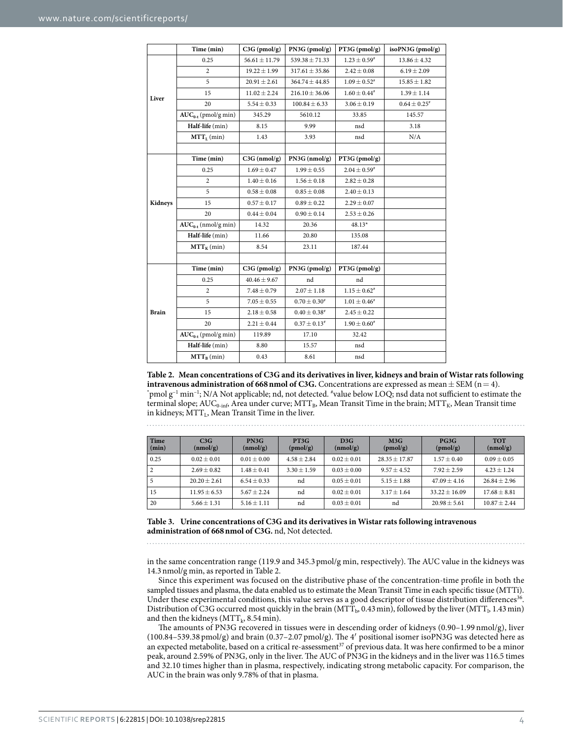<span id="page-3-0"></span>

|              | Time (min)               | $C3G$ (pmol/g)    | PN3G (pmol/g)      | PT3G (pmol/g)                | isoPN3G (pmol/g)  |
|--------------|--------------------------|-------------------|--------------------|------------------------------|-------------------|
| Liver        | 0.25                     | $56.61 \pm 11.79$ | $539.38 \pm 71.33$ | $1.23 \pm 0.59^*$            | $13.86 \pm 4.32$  |
|              | $\overline{c}$           | $19.22 \pm 1.99$  | $317.61 \pm 35.86$ | $2.42 \pm 0.08$              | $6.19 \pm 2.09$   |
|              | 5                        | $20.91 \pm 2.61$  | $364.74 \pm 44.85$ | $1.09 \pm 0.52^*$            | $15.85 \pm 1.82$  |
|              | 15                       | $11.02 \pm 2.24$  | $216.10 \pm 36.06$ | $1.60 \pm 0.44^*$            | $1.39 \pm 1.14$   |
|              | 20                       | $5.54 \pm 0.33$   | $100.84 \pm 6.33$  | $3.06 \pm 0.19$              | $0.64 \pm 0.25$ # |
|              | $AUC_{0-t}$ (pmol/g min) | 345.29            | 5610.12            | 33.85                        | 145.57            |
|              | Half-life (min)          | 8.15              | 9.99               | nsd                          | 3.18              |
|              | $MTT_L$ (min)            | 1.43              | 3.93               | nsd                          | N/A               |
|              |                          |                   |                    |                              |                   |
|              | Time (min)               | $C3G$ (nmol/g)    | $PN3G$ (nmol/g)    | PT3G (pmol/g)                |                   |
|              | 0.25                     | $1.69 \pm 0.47$   | $1.99 \pm 0.55$    | $2.04 \pm 0.59^{*}$          |                   |
|              | $\overline{c}$           | $1.40 \pm 0.16$   | $1.56 \pm 0.18$    | $2.82 \pm 0.28$              |                   |
|              | 5                        | $0.58 \pm 0.08$   | $0.85 \pm 0.08$    | $2.40 \pm 0.13$              |                   |
| Kidneys      | 15                       | $0.57 \pm 0.17$   | $0.89 \pm 0.22$    | $2.29 \pm 0.07$              |                   |
|              | 20                       | $0.44 \pm 0.04$   | $0.90 \pm 0.14$    | $2.53 \pm 0.26$              |                   |
|              | $AUC_{0-t}$ (nmol/g min) | 14.32             | 20.36              | $48.13*$                     |                   |
|              | Half-life (min)          | 11.66             | 20.80              | 135.08                       |                   |
|              | $MTT_{K}$ (min)          | 8.54              | 23.11              | 187.44                       |                   |
|              |                          |                   |                    |                              |                   |
|              | Time (min)               | $C3G$ (pmol/g)    | PN3G (pmol/g)      | PT3G (pmol/g)                |                   |
|              | 0.25                     | $40.46 \pm 9.67$  | nd                 | nd                           |                   |
| <b>Brain</b> | 2                        | $7.48 \pm 0.79$   | $2.07 \pm 1.18$    | $1.15 \pm 0.62$ <sup>#</sup> |                   |
|              | 5                        | $7.05 \pm 0.55$   | $0.70 \pm 0.30^*$  | $1.01 \pm 0.46^*$            |                   |
|              | 15                       | $2.18 \pm 0.58$   | $0.40 \pm 0.38$ #  | $2.45 \pm 0.22$              |                   |
|              | 20                       | $2.21 \pm 0.44$   | $0.37 \pm 0.13^*$  | $1.90 \pm 0.60^*$            |                   |
|              | $AUC_{0,t}$ (pmol/g min) | 119.89            | 17.10              | 32.42                        |                   |
|              | Half-life (min)          | 8.80              | 15.57              | nsd                          |                   |
|              | $MTT_B$ (min)            | 0.43              | 8.61               | nsd                          |                   |

**Table 2. Mean concentrations of C3G and its derivatives in liver, kidneys and brain of Wistar rats following intravenous administration of 668 nmol of C3G.** Concentrations are expressed as mean  $\pm$  SEM (n = 4). pmol  $g^{-1}$  min<sup>-1</sup>; N/A Not applicable; nd, not detected.  $*$ value below LOQ; nsd data not sufficient to estimate the terminal slope; AUC<sub>0-inf</sub>, Area under curve; MTT<sub>B</sub>, Mean Transit Time in the brain; MTT<sub>K</sub>, Mean Transit time in kidneys;  $MTT<sub>L</sub>$ , Mean Transit Time in the liver.

<span id="page-3-1"></span>

| Time<br>$(\min)$ | C3G<br>(nmol/g) | PN3G<br>(nmol/g) | PT3G<br>(pmol/g) | D3G<br>(nmol/g) | M3G<br>(pmol/g) | PG3G<br>(pmol/g) | <b>TOT</b><br>(nmol/g) |
|------------------|-----------------|------------------|------------------|-----------------|-----------------|------------------|------------------------|
| 0.25             | $0.02 + 0.01$   | $0.01 + 0.00$    | $4.58 + 2.84$    | $0.02 + 0.01$   | $28.35 + 17.87$ | $1.57 + 0.40$    | $0.09 + 0.05$          |
| $\sqrt{2}$       | $2.69 + 0.82$   | $1.48 + 0.41$    | $3.30 + 1.59$    | $0.03 + 0.00$   | $9.57 + 4.52$   | $7.92 + 2.59$    | $4.23 + 1.24$          |
| 5                | $20.20 + 2.61$  | $6.54 + 0.33$    | nd               | $0.05 + 0.01$   | $5.15 + 1.88$   | $47.09 + 4.16$   | $26.84 + 2.96$         |
| 15               | $11.95 + 6.53$  | $5.67 + 2.24$    | nd               | $0.02 + 0.01$   | $3.17 + 1.64$   | $33.22 + 16.09$  | $17.68 + 8.81$         |
| 20               | $5.66 + 1.31$   | $5.16 + 1.11$    | nd               | $0.03 + 0.01$   | nd              | $20.98 + 5.61$   | $10.87 + 2.44$         |

**Table 3. Urine concentrations of C3G and its derivatives in Wistar rats following intravenous administration of 668nmol of C3G.** nd, Not detected.

in the same concentration range (119.9 and 345.3pmol/g min, respectively). The AUC value in the kidneys was 14.3nmol/g min, as reported in [Table 2.](#page-3-0)

Since this experiment was focused on the distributive phase of the concentration-time profile in both the sampled tissues and plasma, the data enabled us to estimate the Mean Transit Time in each specific tissue (MTTi). Under these experimental conditions, this value serves as a good descriptor of tissue distribution differences<sup>36</sup>. Distribution of C3G occurred most quickly in the brain (MTT<sub>b</sub>, 0.43 min), followed by the liver (MTT<sub>b</sub> 1.43 min) and then the kidneys ( $MTT_k$ , 8.54 min).

The amounts of PN3G recovered in tissues were in descending order of kidneys (0.90–1.99 nmol/g), liver (100.84–539.38 pmol/g) and brain (0.37–2.07 pmol/g). The 4′ positional isomer isoPN3G was detected here as an expected metabolite, based on a critical re-assessment $37$  of previous data. It was here confirmed to be a minor peak, around 2.59% of PN3G, only in the liver. The AUC of PN3G in the kidneys and in the liver was 116.5 times and 32.10 times higher than in plasma, respectively, indicating strong metabolic capacity. For comparison, the AUC in the brain was only 9.78% of that in plasma.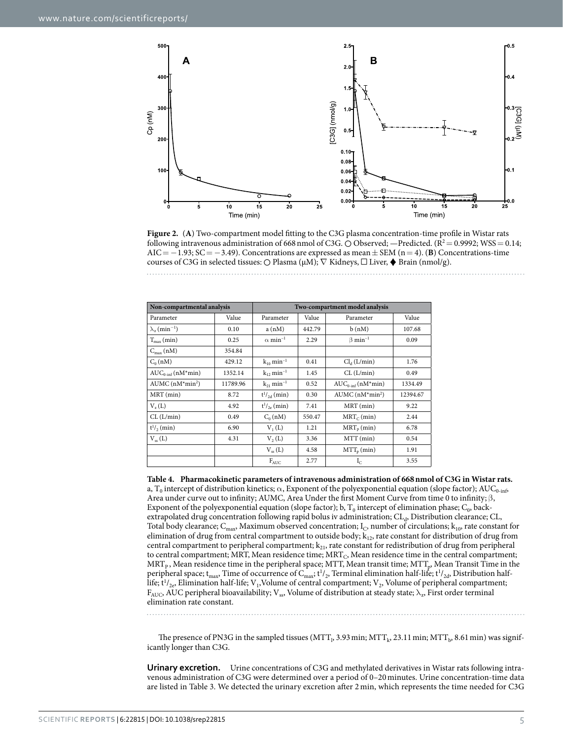

<span id="page-4-0"></span>**Figure 2.** (**A**) Two-compartment model fitting to the C3G plasma concentration-time profile in Wistar rats following intravenous administration of 668 nmol of C3G.  $\odot$  Observed; —Predicted. (R<sup>2</sup> = 0.9992; WSS = 0.14;  $AIC = -1.93$ ;  $SC = -3.49$ ). Concentrations are expressed as mean  $\pm$  SEM (n = 4). (**B**) Concentrations-time courses of C3G in selected tissues:  $\bigcirc$  Plasma ( $\mu$ M);  $\nabla$  Kidneys,  $\square$  Liver,  $\blacklozenge$  Brain (nmol/g).

<span id="page-4-1"></span>

| Non-compartmental analysis                  | Two-compartment model analysis |                            |        |                               |          |
|---------------------------------------------|--------------------------------|----------------------------|--------|-------------------------------|----------|
| Parameter                                   | Value                          | Parameter                  | Value  | Parameter                     | Value    |
| $\lambda$ <sub>z</sub> (min <sup>-1</sup> ) | 0.10                           | a(nM)                      | 442.79 | b(nM)                         | 107.68   |
| $T_{\rm max}$ (min)                         | 0.25                           | $\alpha$ min <sup>-1</sup> | 2.29   | $\beta$ min <sup>-1</sup>     | 0.09     |
| $C_{\text{max}}(nM)$                        | 354.84                         |                            |        |                               |          |
| $C_0(nM)$                                   | 429.12                         | $k_{10}$ min <sup>-1</sup> | 0.41   | Cl <sub>d</sub> (L/min)       | 1.76     |
| $AUC_{0.\text{inf}}(nM^*min)$               | 1352.14                        | $k_{12}$ min <sup>-1</sup> | 1.45   | CL (L/min)                    | 0.49     |
| $AUMC (nM*min2)$                            | 11789.96                       | $k_{21}$ min <sup>-1</sup> | 0.52   | $AUC_{0\text{-inf}}(nM^*min)$ | 1334.49  |
| MRT (min)                                   | 8.72                           | $t^{1/2}$ (min)            | 0.30   | $AUMC (nM*min2)$              | 12394.67 |
| $V_{\nu}(L)$                                | 4.92                           | $t^{1/2}$ (min)            | 7.41   | MRT (min)                     | 9.22     |
| CL (L/min)                                  | 0.49                           | $C_0(nM)$                  | 550.47 | $MRT_C$ (min)                 | 2.44     |
| $t^{1/2}$ (min)                             | 6.90                           | $V_1(L)$                   | 1.21   | $MRT_{p}(min)$                | 6.78     |
| $V_{ss}(L)$                                 | 4.31                           | V <sub>2</sub> (L)         | 3.36   | MTT (min)                     | 0.54     |
|                                             |                                | $V_{ss}(L)$                | 4.58   | $MTT_{p} (min)$               | 1.91     |
|                                             |                                | $F_{AUC}$                  | 2.77   | $I_{C}$                       | 3.55     |

**Table 4. Pharmacokinetic parameters of intravenous administration of 668nmol of C3G in Wistar rats.** a, T<sub>0</sub> intercept of distribution kinetics;  $\alpha$ , Exponent of the polyexponential equation (slope factor); AUC<sub>0-inf</sub>, Area under curve out to infinity; AUMC, Area Under the first Moment Curve from time 0 to infinity;  $\beta$ , Exponent of the polyexponential equation (slope factor); b,  $T_0$  intercept of elimination phase;  $C_0$ , backextrapolated drug concentration following rapid bolus iv administration; CL<sub>d</sub>, Distribution clearance; CL, Total body clearance;  $C_{\text{max}}$ , Maximum observed concentration;  $I_c$ , number of circulations;  $k_{10}$ , rate constant for elimination of drug from central compartment to outside body;  $k_{12}$ , rate constant for distribution of drug from central compartment to peripheral compartment;  $k_{21}$ , rate constant for redistribution of drug from peripheral to central compartment; MRT, Mean residence time; MRT<sub>C</sub>, Mean residence time in the central compartment; MRT<sub>P</sub>, Mean residence time in the peripheral space; MTT, Mean transit time; MTT<sub>p</sub>, Mean Transit Time in the peripheral space; t<sub>max</sub>, Time of occurrence of C<sub>max</sub>; t<sup>1</sup>/<sub>2</sub>, Terminal elimination half-life; t<sup>1</sup>/<sub>2d</sub>, Distribution halflife;  $t^{1}/_{2e}$ , Elimination half-life;  $V_1$ , Volume of central compartment;  $V_2$ , Volume of peripheral compartment;  $F_{\text{AUC}}$  AUC peripheral bioavailability; V<sub>ss</sub>, Volume of distribution at steady state;  $\lambda_n$ , First order terminal elimination rate constant.

The presence of PN3G in the sampled tissues (MTT<sub>1</sub>, 3.93 min; MTT<sub>k</sub>, 23.11 min; MTT<sub>b</sub>, 8.61 min) was significantly longer than C3G.

**Urinary excretion.** Urine concentrations of C3G and methylated derivatives in Wistar rats following intravenous administration of C3G were determined over a period of 0–20 minutes. Urine concentration-time data are listed in [Table 3](#page-3-1). We detected the urinary excretion after 2 min, which represents the time needed for C3G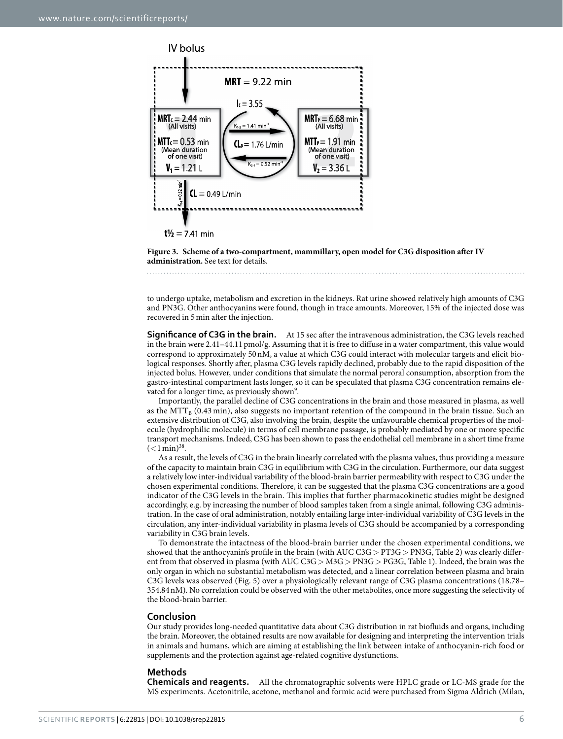



<span id="page-5-0"></span>**Figure 3. Scheme of a two-compartment, mammillary, open model for C3G disposition after IV administration.** See text for details.

to undergo uptake, metabolism and excretion in the kidneys. Rat urine showed relatively high amounts of C3G and PN3G. Other anthocyanins were found, though in trace amounts. Moreover, 15% of the injected dose was recovered in 5min after the injection.

**Significance of C3G in the brain.** At 15 sec after the intravenous administration, the C3G levels reached in the brain were 2.41–44.11pmol/g. Assuming that it is free to diffuse in a water compartment, this value would correspond to approximately 50nM, a value at which C3G could interact with molecular targets and elicit biological responses. Shortly after, plasma C3G levels rapidly declined, probably due to the rapid disposition of the injected bolus. However, under conditions that simulate the normal peroral consumption, absorption from the gastro-intestinal compartment lasts longer, so it can be speculated that plasma C3G concentration remains elevated for a longer time, as previously shown<sup>9</sup>.

Importantly, the parallel decline of C3G concentrations in the brain and those measured in plasma, as well as the MTT<sub>B</sub> (0.43 min), also suggests no important retention of the compound in the brain tissue. Such an extensive distribution of C3G, also involving the brain, despite the unfavourable chemical properties of the molecule (hydrophilic molecule) in terms of cell membrane passage, is probably mediated by one or more specific transport mechanisms. Indeed, C3G has been shown to pass the endothelial cell membrane in a short time frame  $(<1 \,\mathrm{min})^{38}$ .

As a result, the levels of C3G in the brain linearly correlated with the plasma values, thus providing a measure of the capacity to maintain brain C3G in equilibrium with C3G in the circulation. Furthermore, our data suggest a relatively low inter-individual variability of the blood-brain barrier permeability with respect to C3G under the chosen experimental conditions. Therefore, it can be suggested that the plasma C3G concentrations are a good indicator of the C3G levels in the brain. This implies that further pharmacokinetic studies might be designed accordingly, e.g. by increasing the number of blood samples taken from a single animal, following C3G administration. In the case of oral administration, notably entailing large inter-individual variability of C3G levels in the circulation, any inter-individual variability in plasma levels of C3G should be accompanied by a corresponding variability in C3G brain levels.

To demonstrate the intactness of the blood-brain barrier under the chosen experimental conditions, we showed that the anthocyanin's profile in the brain (with AUC C3G> PT3G> PN3G, [Table 2](#page-3-0)) was clearly different from that observed in plasma (with AUC C3G> M3G> PN3G> PG3G, [Table 1](#page-1-0)). Indeed, the brain was the only organ in which no substantial metabolism was detected, and a linear correlation between plasma and brain C3G levels was observed ([Fig. 5](#page-7-0)) over a physiologically relevant range of C3G plasma concentrations (18.78– 354.84nM). No correlation could be observed with the other metabolites, once more suggesting the selectivity of the blood-brain barrier.

#### **Conclusion**

Our study provides long-needed quantitative data about C3G distribution in rat biofluids and organs, including the brain. Moreover, the obtained results are now available for designing and interpreting the intervention trials in animals and humans, which are aiming at establishing the link between intake of anthocyanin-rich food or supplements and the protection against age-related cognitive dysfunctions.

#### **Methods**

**Chemicals and reagents.** All the chromatographic solvents were HPLC grade or LC-MS grade for the MS experiments. Acetonitrile, acetone, methanol and formic acid were purchased from Sigma Aldrich (Milan,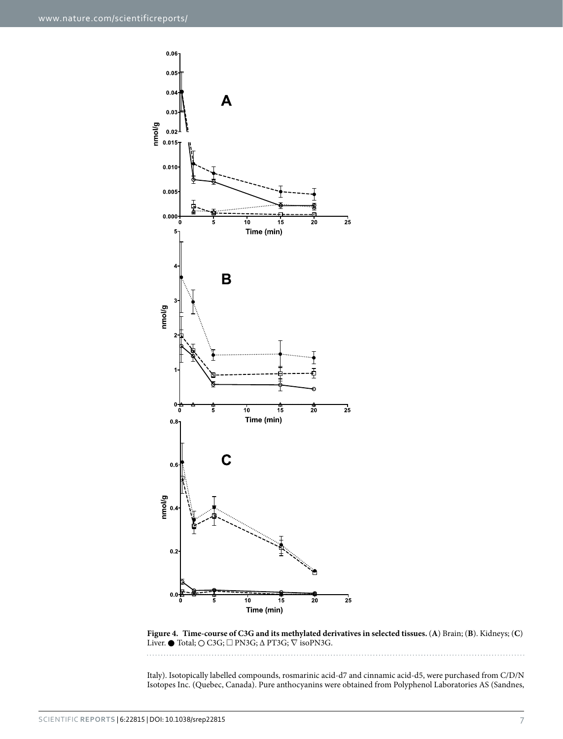

<span id="page-6-0"></span>**Figure 4. Time-course of C3G and its methylated derivatives in selected tissues.** (**A**) Brain; (**B**). Kidneys; (**C**) Liver. ● Total;  $\bigcirc$  C3G;  $\Box$  PN3G;  $\Delta$  PT3G;  $\nabla$  isoPN3G.

Italy). Isotopically labelled compounds, rosmarinic acid-d7 and cinnamic acid-d5, were purchased from C/D/N Isotopes Inc. (Quebec, Canada). Pure anthocyanins were obtained from Polyphenol Laboratories AS (Sandnes,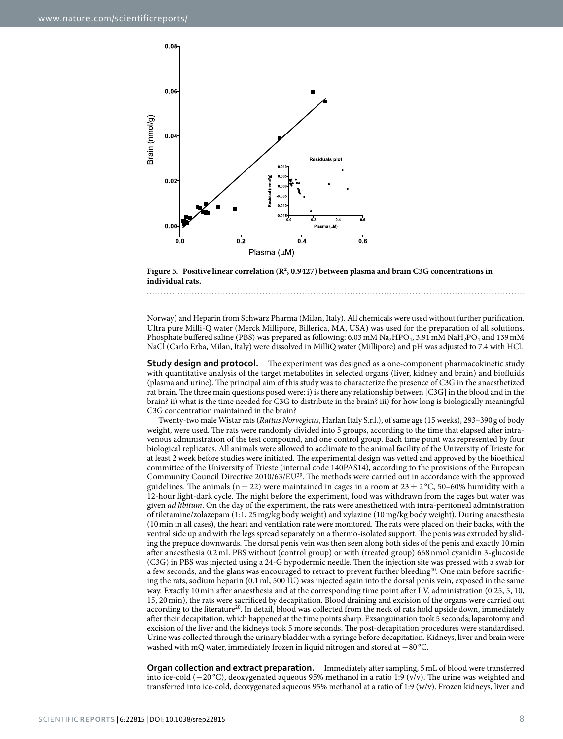

<span id="page-7-0"></span>Figure 5. Positive linear correlation (R<sup>2</sup>, 0.9427) between plasma and brain C3G concentrations in **individual rats.** 

Norway) and Heparin from Schwarz Pharma (Milan, Italy). All chemicals were used without further purification. Ultra pure Milli-Q water (Merck Millipore, Billerica, MA, USA) was used for the preparation of all solutions. Phosphate buffered saline (PBS) was prepared as following: 6.03 mM Na<sub>2</sub>HPO<sub>4</sub>, 3.91 mM NaH<sub>2</sub>PO<sub>4</sub> and 139 mM NaCl (Carlo Erba, Milan, Italy) were dissolved in MilliQ water (Millipore) and pH was adjusted to 7.4 with HCl.

**Study design and protocol.** The experiment was designed as a one-component pharmacokinetic study with quantitative analysis of the target metabolites in selected organs (liver, kidney and brain) and biofluids (plasma and urine). The principal aim of this study was to characterize the presence of C3G in the anaesthetized rat brain. The three main questions posed were: i) is there any relationship between [C3G] in the blood and in the brain? ii) what is the time needed for C3G to distribute in the brain? iii) for how long is biologically meaningful C3G concentration maintained in the brain?

Twenty-two male Wistar rats (*Rattus Norvegicus*, Harlan Italy S.r.l.), of same age (15 weeks), 293–390 g of body weight, were used. The rats were randomly divided into 5 groups, according to the time that elapsed after intravenous administration of the test compound, and one control group. Each time point was represented by four biological replicates. All animals were allowed to acclimate to the animal facility of the University of Trieste for at least 2 week before studies were initiated. The experimental design was vetted and approved by the bioethical committee of the University of Trieste (internal code 140PAS14), according to the provisions of the European Community Council Directive 2010/63/E[U39.](#page-10-3) The methods were carried out in accordance with the approved guidelines. The animals (n = 22) were maintained in cages in a room at  $23 \pm 2$  °C, 50–60% humidity with a 12-hour light-dark cycle. The night before the experiment, food was withdrawn from the cages but water was given *ad libitum*. On the day of the experiment, the rats were anesthetized with intra-peritoneal administration of tiletamine/zolazepam (1:1, 25 mg/kg body weight) and xylazine (10 mg/kg body weight). During anaesthesia (10min in all cases), the heart and ventilation rate were monitored. The rats were placed on their backs, with the ventral side up and with the legs spread separately on a thermo-isolated support. The penis was extruded by sliding the prepuce downwards. The dorsal penis vein was then seen along both sides of the penis and exactly 10min after anaesthesia 0.2 mL PBS without (control group) or with (treated group) 668 nmol cyanidin 3-glucoside (C3G) in PBS was injected using a 24-G hypodermic needle. Then the injection site was pressed with a swab for a few seconds, and the glans was encouraged to retract to prevent further bleeding[40](#page-10-4). One min before sacrificing the rats, sodium heparin (0.1ml, 500 IU) was injected again into the dorsal penis vein, exposed in the same way. Exactly 10min after anaesthesia and at the corresponding time point after I.V. administration (0.25, 5, 10, 15, 20min), the rats were sacrificed by decapitation. Blood draining and excision of the organs were carried out according to the literature<sup>[20](#page-9-26)</sup>. In detail, blood was collected from the neck of rats hold upside down, immediately after their decapitation, which happened at the time points sharp. Exsanguination took 5 seconds; laparotomy and excision of the liver and the kidneys took 5 more seconds. The post-decapitation procedures were standardised. Urine was collected through the urinary bladder with a syringe before decapitation. Kidneys, liver and brain were washed with mQ water, immediately frozen in liquid nitrogen and stored at −80 °C.

**Organ collection and extract preparation.** Immediately after sampling, 5mL of blood were transferred into ice-cold (−20 °C), deoxygenated aqueous 95% methanol in a ratio 1:9 (v/v). The urine was weighted and transferred into ice-cold, deoxygenated aqueous 95% methanol at a ratio of 1:9 (w/v). Frozen kidneys, liver and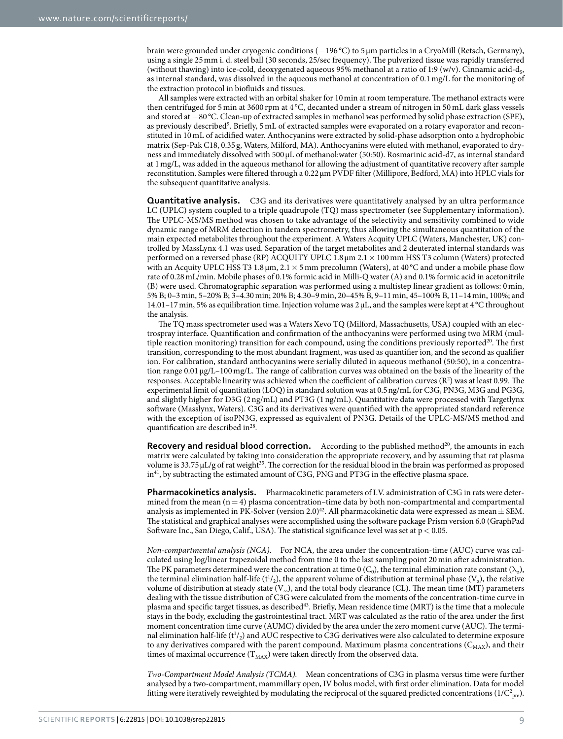brain were grounded under cryogenic conditions (−196 °C) to 5 μm particles in a CryoMill (Retsch, Germany), using a single 25mm i. d. steel ball (30 seconds, 25/sec frequency). The pulverized tissue was rapidly transferred (without thawing) into ice-cold, deoxygenated aqueous 95% methanol at a ratio of 1:9 (w/v). Cinnamic acid-d<sub>5</sub>, as internal standard, was dissolved in the aqueous methanol at concentration of 0.1mg/L for the monitoring of the extraction protocol in biofluids and tissues.

All samples were extracted with an orbital shaker for 10min at room temperature. The methanol extracts were then centrifuged for 5 min at 3600 rpm at 4 °C, decanted under a stream of nitrogen in 50 mL dark glass vessels and stored at −80 °C. Clean-up of extracted samples in methanol was performed by solid phase extraction (SPE), as previously described<sup>[9](#page-9-8)</sup>. Briefly, 5 mL of extracted samples were evaporated on a rotary evaporator and reconstituted in 10mL of acidified water. Anthocyanins were extracted by solid-phase adsorption onto a hydrophobic matrix (Sep-Pak C18, 0.35g, Waters, Milford, MA). Anthocyanins were eluted with methanol, evaporated to dryness and immediately dissolved with 500μL of methanol:water (50:50). Rosmarinic acid-d7, as internal standard at 1mg/L, was added in the aqueous methanol for allowing the adjustment of quantitative recovery after sample reconstitution. Samples were filtered through a 0.22μm PVDF filter (Millipore, Bedford, MA) into HPLC vials for the subsequent quantitative analysis.

**Quantitative analysis.** C3G and its derivatives were quantitatively analysed by an ultra performance LC (UPLC) system coupled to a triple quadrupole (TQ) mass spectrometer (see Supplementary information). The UPLC-MS/MS method was chosen to take advantage of the selectivity and sensitivity combined to wide dynamic range of MRM detection in tandem spectrometry, thus allowing the simultaneous quantitation of the main expected metabolites throughout the experiment. A Waters Acquity UPLC (Waters, Manchester, UK) controlled by MassLynx 4.1 was used. Separation of the target metabolites and 2 deuterated internal standards was performed on a reversed phase (RP) ACQUITY UPLC 1.8μm 2.1× 100mm HSS T3 column (Waters) protected with an Acquity UPLC HSS T3 1.8  $\mu$ m, 2.1  $\times$  5 mm precolumn (Waters), at 40 °C and under a mobile phase flow rate of 0.28mL/min. Mobile phases of 0.1% formic acid in Milli-Q water (A) and 0.1% formic acid in acetonitrile (B) were used. Chromatographic separation was performed using a multistep linear gradient as follows: 0min, 5% B; 0–3min, 5–20% B; 3–4.30min; 20% B; 4.30–9min, 20–45% B, 9–11min, 45–100% B, 11–14min, 100%; and 14.01–17min, 5% as equilibration time. Injection volume was 2 μL, and the samples were kept at 4 °C throughout the analysis.

The TQ mass spectrometer used was a Waters Xevo TQ (Milford, Massachusetts, USA) coupled with an electrospray interface. Quantification and confirmation of the anthocyanins were performed using two MRM (mul-tiple reaction monitoring) transition for each compound, using the conditions previously reported<sup>[20](#page-9-26)</sup>. The first transition, corresponding to the most abundant fragment, was used as quantifier ion, and the second as qualifier ion. For calibration, standard anthocyanins were serially diluted in aqueous methanol (50:50), in a concentration range 0.01 μg/L–100 mg/L. The range of calibration curves was obtained on the basis of the linearity of the responses. Acceptable linearity was achieved when the coefficient of calibration curves (R<sup>2</sup>) was at least 0.99. The experimental limit of quantitation (LOQ) in standard solution was at 0.5ng/mL for C3G, PN3G, M3G and PG3G, and slightly higher for D3G (2ng/mL) and PT3G (1ng/mL). Quantitative data were processed with Targetlynx software (Masslynx, Waters). C3G and its derivatives were quantified with the appropriated standard reference with the exception of isoPN3G, expressed as equivalent of PN3G. Details of the UPLC-MS/MS method and quantification are described in<sup>28</sup>.

**Recovery and residual blood correction.** According to the published method<sup>20</sup>, the amounts in each matrix were calculated by taking into consideration the appropriate recovery, and by assuming that rat plasma volume is  $33.75 \mu L/g$  of rat weight<sup>35</sup>. The correction for the residual blood in the brain was performed as proposed  $in<sup>41</sup>$ , by subtracting the estimated amount of C3G, PNG and PT3G in the effective plasma space.

**Pharmacokinetics analysis.** Pharmacokinetic parameters of I.V. administration of C3G in rats were determined from the mean  $(n=4)$  plasma concentration–time data by both non-compartmental and compartmental analysis as implemented in PK-Solver (version 2.0)<sup>[42](#page-10-6)</sup>. All pharmacokinetic data were expressed as mean  $\pm$  SEM. The statistical and graphical analyses were accomplished using the software package Prism version 6.0 (GraphPad Software Inc., San Diego, Calif., USA). The statistical significance level was set at  $p < 0.05$ .

*Non-compartmental analysis (NCA).* For NCA, the area under the concentration-time (AUC) curve was calculated using log/linear trapezoidal method from time 0 to the last sampling point 20 min after administration. The PK parameters determined were the concentration at time 0 (C<sub>0</sub>), the terminal elimination rate constant ( $\lambda_2$ ), the terminal elimination half-life ( $t^1/2$ ), the apparent volume of distribution at terminal phase ( $V_z$ ), the relative volume of distribution at steady state  $(V_{\rm ss})$ , and the total body clearance (CL). The mean time (MT) parameters dealing with the tissue distribution of C3G were calculated from the moments of the concentration-time curve in plasma and specific target tissues, as describe[d43.](#page-10-7) Briefly, Mean residence time (MRT) is the time that a molecule stays in the body, excluding the gastrointestinal tract. MRT was calculated as the ratio of the area under the first moment concentration time curve (AUMC) divided by the area under the zero moment curve (AUC). The terminal elimination half-life ( $t^1/2$ ) and AUC respective to C3G derivatives were also calculated to determine exposure to any derivatives compared with the parent compound. Maximum plasma concentrations ( $C_{MAX}$ ), and their times of maximal occurrence  $(T_{MAX})$  were taken directly from the observed data.

*Two-Compartment Model Analysis (TCMA).* Mean concentrations of C3G in plasma versus time were further analysed by a two-compartment, mammillary open, IV bolus model, with first order elimination. Data for model fitting were iteratively reweighted by modulating the reciprocal of the squared predicted concentrations ( $1/C_{pre}^2$ ).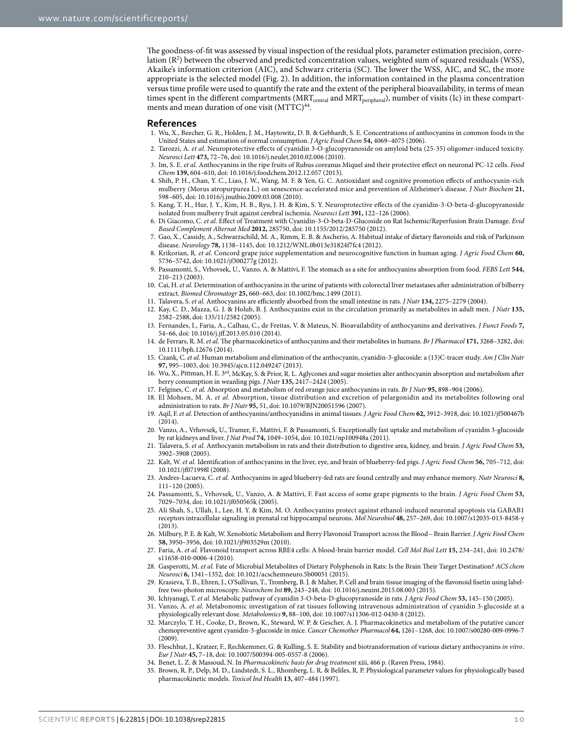The goodness-of-fit was assessed by visual inspection of the residual plots, parameter estimation precision, correlation (R2 ) between the observed and predicted concentration values, weighted sum of squared residuals (WSS), Akaike's information criterion (AIC), and Schwarz criteria (SC). The lower the WSS, AIC, and SC, the more appropriate is the selected model [\(Fig. 2](#page-4-0)). In addition, the information contained in the plasma concentration versus time profile were used to quantify the rate and the extent of the peripheral bioavailability, in terms of mean times spent in the different compartments (MRT<sub>central</sub> and MRT<sub>peripheral</sub>), number of visits (Ic) in these compartments and mean duration of one visit (MTTC)<sup>44</sup>.

#### **References**

- <span id="page-9-0"></span>1. Wu, X., Beecher, G. R., Holden, J. M., Haytowitz, D. B. & Gebhardt, S. E. Concentrations of anthocyanins in common foods in the United States and estimation of normal consumption. *J Agric Food Chem* **54,** 4069–4075 (2006).
- <span id="page-9-1"></span>2. Tarozzi, A. *et al.* Neuroprotective effects of cyanidin 3-O-glucopyranoside on amyloid beta (25-35) oligomer-induced toxicity. *Neurosci Lett* **473,** 72–76, doi: 10.1016/j.neulet.2010.02.006 (2010).
- <span id="page-9-2"></span>3. Im, S. E. *et al.* Anthocyanins in the ripe fruits of Rubus coreanus Miquel and their protective effect on neuronal PC-12 cells. *Food Chem* **139,** 604–610, doi: 10.1016/j.foodchem.2012.12.057 (2013).
- <span id="page-9-3"></span>4. Shih, P. H., Chan, Y. C., Liao, J. W., Wang, M. F. & Yen, G. C. Antioxidant and cognitive promotion effects of anthocyanin-rich mulberry (Morus atropurpurea L.) on senescence-accelerated mice and prevention of Alzheimer's disease. *J Nutr Biochem* **21,** 598–605, doi: 10.1016/j.jnutbio.2009.03.008 (2010).
- <span id="page-9-4"></span>5. Kang, T. H., Hur, J. Y., Kim, H. B., Ryu, J. H. & Kim, S. Y. Neuroprotective effects of the cyanidin-3-O-beta-d-glucopyranoside isolated from mulberry fruit against cerebral ischemia. *Neurosci Lett* **391,** 122–126 (2006).
- <span id="page-9-5"></span>6. Di Giacomo, C. *et al.* Effect of Treatment with Cyanidin-3-O-beta-D-Glucoside on Rat Ischemic/Reperfusion Brain Damage. *Evid Based Complement Alternat Med* **2012,** 285750, doi: 10.1155/2012/285750 (2012).
- <span id="page-9-6"></span>7. Gao, X., Cassidy, A., Schwarzschild, M. A., Rimm, E. B. & Ascherio, A. Habitual intake of dietary flavonoids and risk of Parkinson disease. *Neurology* **78,** 1138–1145, doi: 10.1212/WNL.0b013e31824f7fc4 (2012).
- <span id="page-9-7"></span>8. Krikorian, R. *et al.* Concord grape juice supplementation and neurocognitive function in human aging. *J Agric Food Chem* **60,** 5736–5742, doi: 10.1021/jf300277g (2012).
- <span id="page-9-8"></span>9. Passamonti, S., Vrhovsek, U., Vanzo, A. & Mattivi, F. The stomach as a site for anthocyanins absorption from food. *FEBS Lett* **544,** 210–213 (2003).
- 10. Cai, H. *et al.* Determination of anthocyanins in the urine of patients with colorectal liver metastases after administration of bilberry extract. *Biomed Chromatogr* **25,** 660–663, doi: 10.1002/bmc.1499 (2011).
- 11. Talavera, S. *et al.* Anthocyanins are efficiently absorbed from the small intestine in rats. *J Nutr* **134,** 2275–2279 (2004).
- 12. Kay, C. D., Mazza, G. J. & Holub, B. J. Anthocyanins exist in the circulation primarily as metabolites in adult men. *J Nutr* **135,** 2582–2588, doi: 135/11/2582 (2005).
- <span id="page-9-9"></span>13. Fernandes, I., Faria, A., Calhau, C., de Freitas, V. & Mateus, N. Bioavailability of anthocyanins and derivatives. *J Funct Foods* **7,** 54–66, doi: 10.1016/j.jff.2013.05.010 (2014).
- 14. de Ferrars, R. M. *et al.* The pharmacokinetics of anthocyanins and their metabolites in humans. *Br J Pharmacol* **171,** 3268–3282, doi: 10.1111/bph.12676 (2014).
- 15. Czank, C. *et al.* Human metabolism and elimination of the anthocyanin, cyanidin-3-glucoside: a (13)C-tracer study. *Am J Clin Nutr* **97,** 995–1003, doi: 10.3945/ajcn.112.049247 (2013).
- <span id="page-9-10"></span>16. Wu, X., Pittman, H. E. 3rd, McKay, S. & Prior, R. L. Aglycones and sugar moieties alter anthocyanin absorption and metabolism after berry consumption in weanling pigs. *J Nutr* **135,** 2417–2424 (2005).
- 17. Felgines, C. *et al.* Absorption and metabolism of red orange juice anthocyanins in rats. *Br J Nutr* **95,** 898–904 (2006).
- 18. El Mohsen, M. A. *et al.* Absorption, tissue distribution and excretion of pelargonidin and its metabolites following oral administration to rats. *Br J Nutr* **95,** 51, doi: 10.1079/BJN20051596 (2007).
- <span id="page-9-23"></span>19. Aqil, F. *et al.* Detection of anthocyanins/anthocyanidins in animal tissues. *J Agric Food Chem* **62,** 3912–3918, doi: 10.1021/jf500467b  $(2014)$ .
- <span id="page-9-26"></span>20. Vanzo, A., Vrhovsek, U., Tramer, F., Mattivi, F. & Passamonti, S. Exceptionally fast uptake and metabolism of cyanidin 3-glucoside by rat kidneys and liver. *J Nat Prod* **74,** 1049–1054, doi: 10.1021/np100948a (2011).
- <span id="page-9-11"></span>21. Talavera, S. *et al.* Anthocyanin metabolism in rats and their distribution to digestive area, kidney, and brain. *J Agric Food Chem* **53,** 3902–3908 (2005).
- 22. Kalt, W. *et al.* Identification of anthocyanins in the liver, eye, and brain of blueberry-fed pigs. *J Agric Food Chem* **56,** 705–712, doi: 10.1021/jf071998l (2008).
- <span id="page-9-12"></span>23. Andres-Lacueva, C. *et al.* Anthocyanins in aged blueberry-fed rats are found centrally and may enhance memory. *Nutr Neurosci* **8,** 111–120 (2005).
- <span id="page-9-13"></span>24. Passamonti, S., Vrhovsek, U., Vanzo, A. & Mattivi, F. Fast access of some grape pigments to the brain. *J Agric Food Chem* **53,** 7029–7034, doi: 10.1021/jf050565k (2005).
- <span id="page-9-14"></span>25. Ali Shah, S., Ullah, I., Lee, H. Y. & Kim, M. O. Anthocyanins protect against ethanol-induced neuronal apoptosis via GABAB1 receptors intracellular signaling in prenatal rat hippocampal neurons. *Mol Neurobiol* **48,** 257–269, doi: 10.1007/s12035-013-8458-y (2013).
- <span id="page-9-15"></span>26. Milbury, P. E. & Kalt, W. Xenobiotic Metabolism and Berry Flavonoid Transport across the Blood−Brain Barrier. *J Agric Food Chem* **58,** 3950–3956, doi: 10.1021/jf903529m (2010).
- <span id="page-9-16"></span>27. Faria, A. *et al.* Flavonoid transport across RBE4 cells: A blood-brain barrier model. *Cell Mol Biol Lett* **15,** 234–241, doi: 10.2478/ s11658-010-0006-4 (2010).
- <span id="page-9-17"></span>28. Gasperotti, M. *et al.* Fate of Microbial Metabolites of Dietary Polyphenols in Rats: Is the Brain Their Target Destination? *ACS chem Neurosci* **6,** 1341–1352, doi: 10.1021/acschemneuro.5b00051 (2015).
- <span id="page-9-18"></span>29. Krasieva, T. B., Ehren, J., O'Sullivan, T., Tromberg, B. J. & Maher, P. Cell and brain tissue imaging of the flavonoid fisetin using labelfree two-photon microscopy. *Neurochem Int* **89,** 243–248, doi: 10.1016/j.neuint.2015.08.003 (2015).
- <span id="page-9-19"></span>30. Ichiyanagi, T. *et al.* Metabolic pathway of cyanidin 3-O-beta-D-glucopyranoside in rats. *J Agric Food Chem* **53,** 145–150 (2005).
- <span id="page-9-20"></span>31. Vanzo, A. *et al.* Metabonomic investigation of rat tissues following intravenous administration of cyanidin 3-glucoside at a physiologically relevant dose. *Metabolomics* **9,** 88–100, doi: 10.1007/s11306-012-0430-8 (2012).
- <span id="page-9-21"></span>32. Marczylo, T. H., Cooke, D., Brown, K., Steward, W. P. & Gescher, A. J. Pharmacokinetics and metabolism of the putative cancer chemopreventive agent cyanidin-3-glucoside in mice. *Cancer Chemother Pharmacol* **64,** 1261–1268, doi: 10.1007/s00280-009-0996-7 (2009).
- <span id="page-9-22"></span>33. Fleschhut, J., Kratzer, F., Rechkemmer, G. & Kulling, S. E. Stability and biotransformation of various dietary anthocyanins *in vitro*. *Eur J Nutr* **45,** 7–18, doi: 10.1007/S00394-005-0557-8 (2006).
- <span id="page-9-24"></span>34. Benet, L. Z. & Massoud, N. In *Pharmacokinetic basis for drug treatment* xiii, 466 p. (Raven Press, 1984).
- <span id="page-9-25"></span>35. Brown, R. P., Delp, M. D., Lindstedt, S. L., Rhomberg, L. R. & Beliles, R. P. Physiological parameter values for physiologically based pharmacokinetic models. *Toxicol Ind Health* **13,** 407–484 (1997).